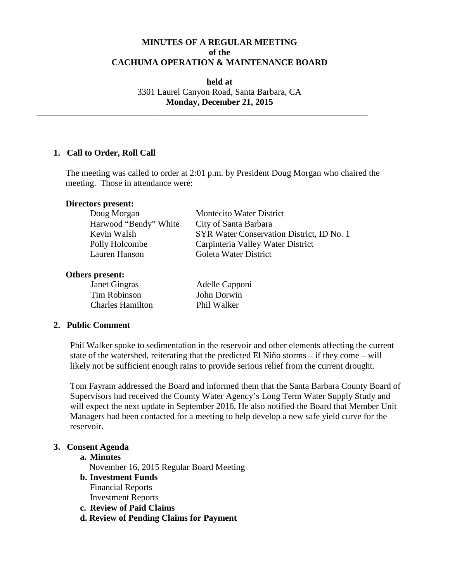# **MINUTES OF A REGULAR MEETING of the CACHUMA OPERATION & MAINTENANCE BOARD**

**held at** 3301 Laurel Canyon Road, Santa Barbara, CA **Monday, December 21, 2015**

\_\_\_\_\_\_\_\_\_\_\_\_\_\_\_\_\_\_\_\_\_\_\_\_\_\_\_\_\_\_\_\_\_\_\_\_\_\_\_\_\_\_\_\_\_\_\_\_\_\_\_\_\_\_\_\_\_\_\_\_\_\_\_\_\_\_\_\_\_\_\_\_\_\_\_

## **1. Call to Order, Roll Call**

The meeting was called to order at 2:01 p.m. by President Doug Morgan who chaired the meeting. Those in attendance were:

### **Directors present:**

| Doug Morgan           | <b>Montecito Water District</b>           |
|-----------------------|-------------------------------------------|
| Harwood "Bendy" White | City of Santa Barbara                     |
| Kevin Walsh           | SYR Water Conservation District, ID No. 1 |
| Polly Holcombe        | Carpinteria Valley Water District         |
| Lauren Hanson         | Goleta Water District                     |

#### **Others present:**

| Janet Gingras           | Adelle Capponi |
|-------------------------|----------------|
| Tim Robinson            | John Dorwin    |
| <b>Charles Hamilton</b> | Phil Walker    |

### **2. Public Comment**

Phil Walker spoke to sedimentation in the reservoir and other elements affecting the current state of the watershed, reiterating that the predicted El Niño storms – if they come – will likely not be sufficient enough rains to provide serious relief from the current drought.

Tom Fayram addressed the Board and informed them that the Santa Barbara County Board of Supervisors had received the County Water Agency's Long Term Water Supply Study and will expect the next update in September 2016. He also notified the Board that Member Unit Managers had been contacted for a meeting to help develop a new safe yield curve for the reservoir.

### **3. Consent Agenda**

### **a. Minutes**

November 16, 2015 Regular Board Meeting

- **b. Investment Funds** Financial Reports
	- Investment Reports
- **c. Review of Paid Claims**
- **d. Review of Pending Claims for Payment**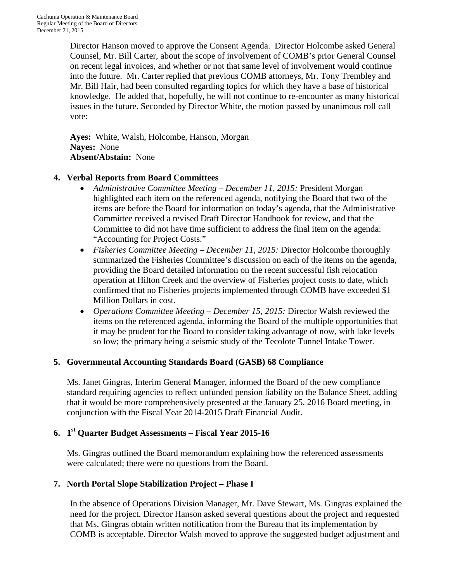Director Hanson moved to approve the Consent Agenda. Director Holcombe asked General Counsel, Mr. Bill Carter, about the scope of involvement of COMB's prior General Counsel on recent legal invoices, and whether or not that same level of involvement would continue into the future. Mr. Carter replied that previous COMB attorneys, Mr. Tony Trembley and Mr. Bill Hair, had been consulted regarding topics for which they have a base of historical knowledge. He added that, hopefully, he will not continue to re-encounter as many historical issues in the future. Seconded by Director White, the motion passed by unanimous roll call vote:

**Ayes:** White, Walsh, Holcombe, Hanson, Morgan **Nayes:** None **Absent/Abstain:** None

# **4. Verbal Reports from Board Committees**

- *Administrative Committee Meeting – December 11, 2015:* President Morgan highlighted each item on the referenced agenda, notifying the Board that two of the items are before the Board for information on today's agenda, that the Administrative Committee received a revised Draft Director Handbook for review, and that the Committee to did not have time sufficient to address the final item on the agenda: "Accounting for Project Costs."
- *Fisheries Committee Meeting December 11, 2015:* Director Holcombe thoroughly summarized the Fisheries Committee's discussion on each of the items on the agenda, providing the Board detailed information on the recent successful fish relocation operation at Hilton Creek and the overview of Fisheries project costs to date, which confirmed that no Fisheries projects implemented through COMB have exceeded \$1 Million Dollars in cost.
- *Operations Committee Meeting – December 15, 2015:* Director Walsh reviewed the items on the referenced agenda, informing the Board of the multiple opportunities that it may be prudent for the Board to consider taking advantage of now, with lake levels so low; the primary being a seismic study of the Tecolote Tunnel Intake Tower.

# **5. Governmental Accounting Standards Board (GASB) 68 Compliance**

Ms. Janet Gingras, Interim General Manager, informed the Board of the new compliance standard requiring agencies to reflect unfunded pension liability on the Balance Sheet, adding that it would be more comprehensively presented at the January 25, 2016 Board meeting, in conjunction with the Fiscal Year 2014-2015 Draft Financial Audit.

# **6. 1st Quarter Budget Assessments – Fiscal Year 2015-16**

Ms. Gingras outlined the Board memorandum explaining how the referenced assessments were calculated; there were no questions from the Board.

# **7. North Portal Slope Stabilization Project – Phase I**

In the absence of Operations Division Manager, Mr. Dave Stewart, Ms. Gingras explained the need for the project. Director Hanson asked several questions about the project and requested that Ms. Gingras obtain written notification from the Bureau that its implementation by COMB is acceptable. Director Walsh moved to approve the suggested budget adjustment and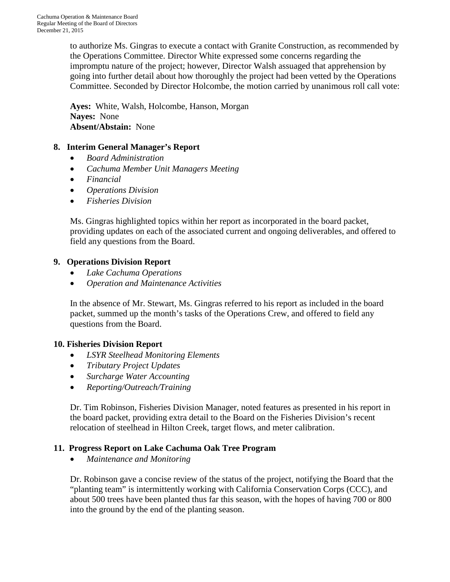to authorize Ms. Gingras to execute a contact with Granite Construction, as recommended by the Operations Committee. Director White expressed some concerns regarding the impromptu nature of the project; however, Director Walsh assuaged that apprehension by going into further detail about how thoroughly the project had been vetted by the Operations Committee. Seconded by Director Holcombe, the motion carried by unanimous roll call vote:

**Ayes:** White, Walsh, Holcombe, Hanson, Morgan **Nayes:** None **Absent/Abstain:** None

# **8. Interim General Manager's Report**

- *Board Administration*
- *Cachuma Member Unit Managers Meeting*
- *Financial*
- *Operations Division*
- *Fisheries Division*

Ms. Gingras highlighted topics within her report as incorporated in the board packet, providing updates on each of the associated current and ongoing deliverables, and offered to field any questions from the Board.

## **9. Operations Division Report**

- *Lake Cachuma Operations*
- *Operation and Maintenance Activities*

In the absence of Mr. Stewart, Ms. Gingras referred to his report as included in the board packet, summed up the month's tasks of the Operations Crew, and offered to field any questions from the Board.

# **10. Fisheries Division Report**

- *LSYR Steelhead Monitoring Elements*
- *Tributary Project Updates*
- *Surcharge Water Accounting*
- *Reporting/Outreach/Training*

Dr. Tim Robinson, Fisheries Division Manager, noted features as presented in his report in the board packet, providing extra detail to the Board on the Fisheries Division's recent relocation of steelhead in Hilton Creek, target flows, and meter calibration.

### **11. Progress Report on Lake Cachuma Oak Tree Program**

• *Maintenance and Monitoring*

Dr. Robinson gave a concise review of the status of the project, notifying the Board that the "planting team" is intermittently working with California Conservation Corps (CCC), and about 500 trees have been planted thus far this season, with the hopes of having 700 or 800 into the ground by the end of the planting season.